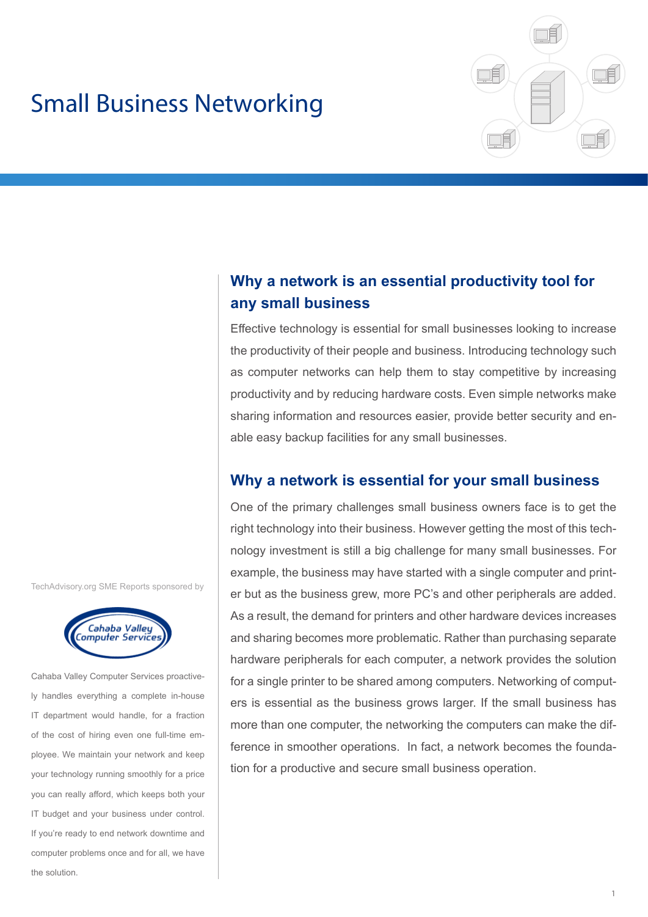# Small Business Networking



# **Why a network is an essential productivity tool for any small business**

Effective technology is essential for small businesses looking to increase the productivity of their people and business. Introducing technology such as computer networks can help them to stay competitive by increasing productivity and by reducing hardware costs. Even simple networks make sharing information and resources easier, provide better security and enable easy backup facilities for any small businesses.

# **Why a network is essential for your small business**

One of the primary challenges small business owners face is to get the right technology into their business. However getting the most of this technology investment is still a big challenge for many small businesses. For example, the business may have started with a single computer and printer but as the business grew, more PC's and other peripherals are added. As a result, the demand for printers and other hardware devices increases and sharing becomes more problematic. Rather than purchasing separate hardware peripherals for each computer, a network provides the solution for a single printer to be shared among computers. Networking of computers is essential as the business grows larger. If the small business has more than one computer, the networking the computers can make the difference in smoother operations. In fact, a network becomes the foundation for a productive and secure small business operation.

TechAdvisory.org SME Reports sponsored by



Cahaba Valley Computer Services proactively handles everything a complete in-house IT department would handle, for a fraction of the cost of hiring even one full-time employee. We maintain your network and keep your technology running smoothly for a price you can really afford, which keeps both your IT budget and your business under control. If you're ready to end network downtime and computer problems once and for all, we have the solution.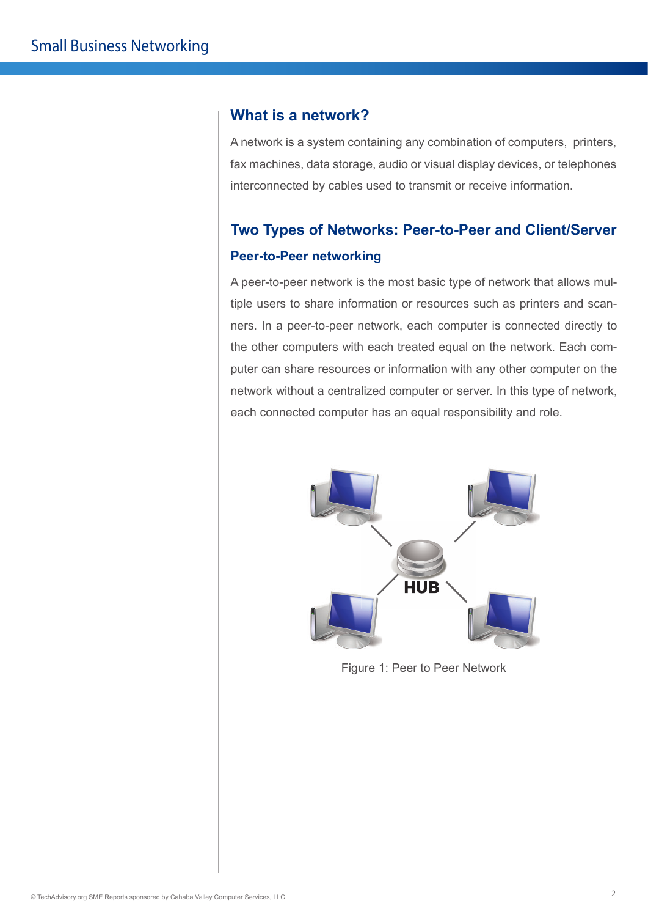## **What is a network?**

A network is a system containing any combination of computers, printers, fax machines, data storage, audio or visual display devices, or telephones interconnected by cables used to transmit or receive information.

# **Two Types of Networks: Peer-to-Peer and Client/Server Peer-to-Peer networking**

A peer-to-peer network is the most basic type of network that allows multiple users to share information or resources such as printers and scanners. In a peer-to-peer network, each computer is connected directly to the other computers with each treated equal on the network. Each computer can share resources or information with any other computer on the network without a centralized computer or server. In this type of network, each connected computer has an equal responsibility and role.



Figure 1: Peer to Peer Network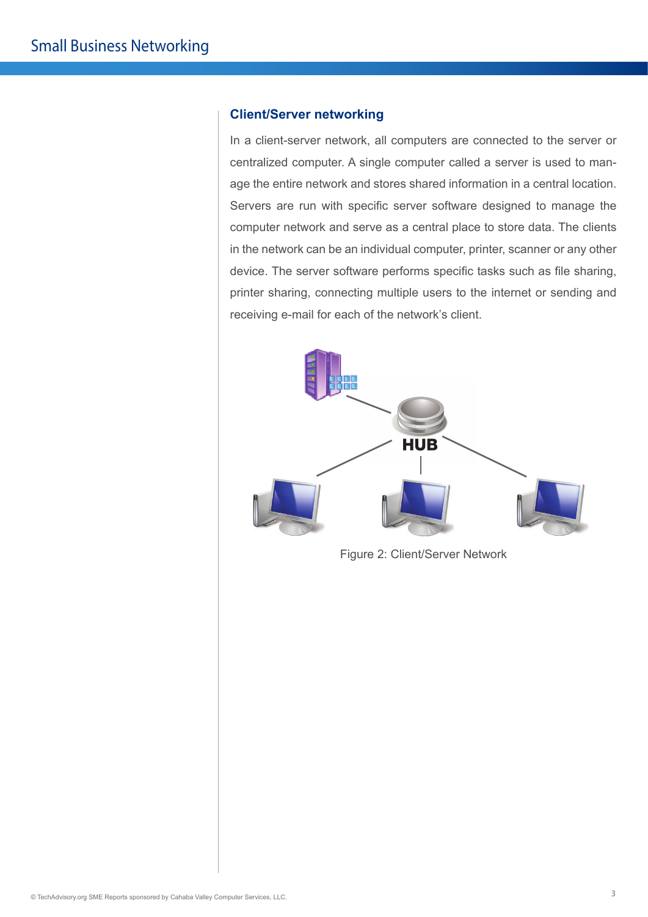#### **Client/Server networking**

In a client-server network, all computers are connected to the server or centralized computer. A single computer called a server is used to manage the entire network and stores shared information in a central location. Servers are run with specific server software designed to manage the computer network and serve as a central place to store data. The clients in the network can be an individual computer, printer, scanner or any other device. The server software performs specific tasks such as file sharing, printer sharing, connecting multiple users to the internet or sending and receiving e-mail for each of the network's client.



Figure 2: Client/Server Network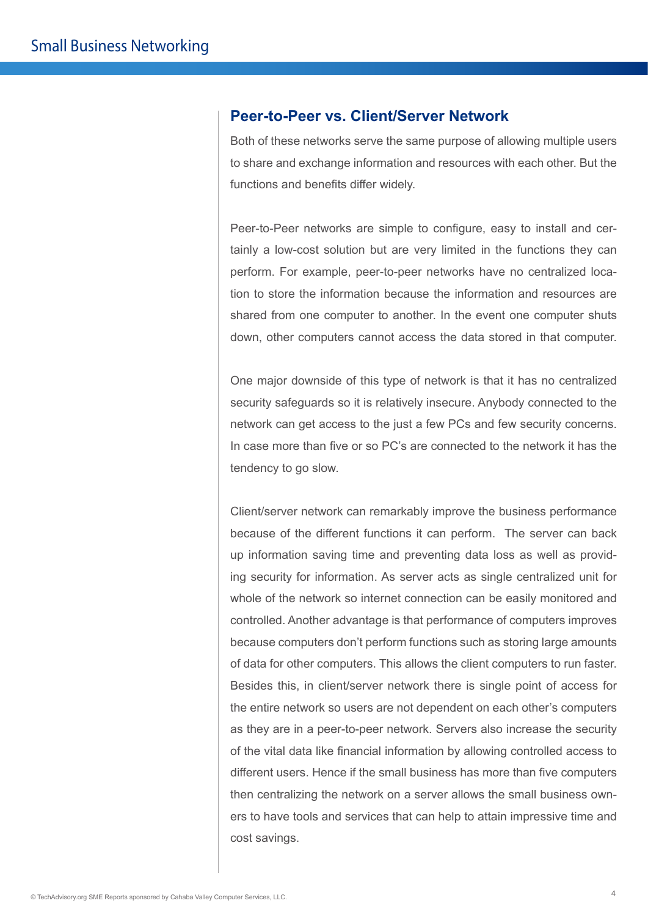#### **Peer-to-Peer vs. Client/Server Network**

Both of these networks serve the same purpose of allowing multiple users to share and exchange information and resources with each other. But the functions and benefits differ widely.

Peer-to-Peer networks are simple to configure, easy to install and certainly a low-cost solution but are very limited in the functions they can perform. For example, peer-to-peer networks have no centralized location to store the information because the information and resources are shared from one computer to another. In the event one computer shuts down, other computers cannot access the data stored in that computer.

One major downside of this type of network is that it has no centralized security safeguards so it is relatively insecure. Anybody connected to the network can get access to the just a few PCs and few security concerns. In case more than five or so PC's are connected to the network it has the tendency to go slow.

Client/server network can remarkably improve the business performance because of the different functions it can perform. The server can back up information saving time and preventing data loss as well as providing security for information. As server acts as single centralized unit for whole of the network so internet connection can be easily monitored and controlled. Another advantage is that performance of computers improves because computers don't perform functions such as storing large amounts of data for other computers. This allows the client computers to run faster. Besides this, in client/server network there is single point of access for the entire network so users are not dependent on each other's computers as they are in a peer-to-peer network. Servers also increase the security of the vital data like financial information by allowing controlled access to different users. Hence if the small business has more than five computers then centralizing the network on a server allows the small business owners to have tools and services that can help to attain impressive time and cost savings.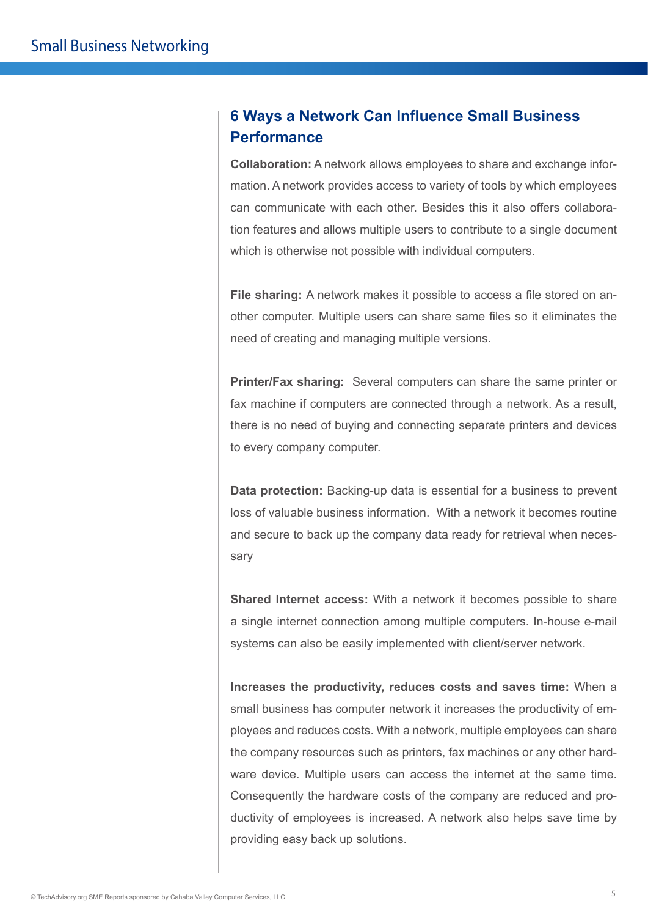# **6 Ways a Network Can Influence Small Business Performance**

**Collaboration:** A network allows employees to share and exchange information. A network provides access to variety of tools by which employees can communicate with each other. Besides this it also offers collaboration features and allows multiple users to contribute to a single document which is otherwise not possible with individual computers.

**File sharing:** A network makes it possible to access a file stored on another computer. Multiple users can share same files so it eliminates the need of creating and managing multiple versions.

**Printer/Fax sharing:** Several computers can share the same printer or fax machine if computers are connected through a network. As a result, there is no need of buying and connecting separate printers and devices to every company computer.

**Data protection:** Backing-up data is essential for a business to prevent loss of valuable business information. With a network it becomes routine and secure to back up the company data ready for retrieval when necessary

**Shared Internet access:** With a network it becomes possible to share a single internet connection among multiple computers. In-house e-mail systems can also be easily implemented with client/server network.

**Increases the productivity, reduces costs and saves time:** When a small business has computer network it increases the productivity of employees and reduces costs. With a network, multiple employees can share the company resources such as printers, fax machines or any other hardware device. Multiple users can access the internet at the same time. Consequently the hardware costs of the company are reduced and productivity of employees is increased. A network also helps save time by providing easy back up solutions.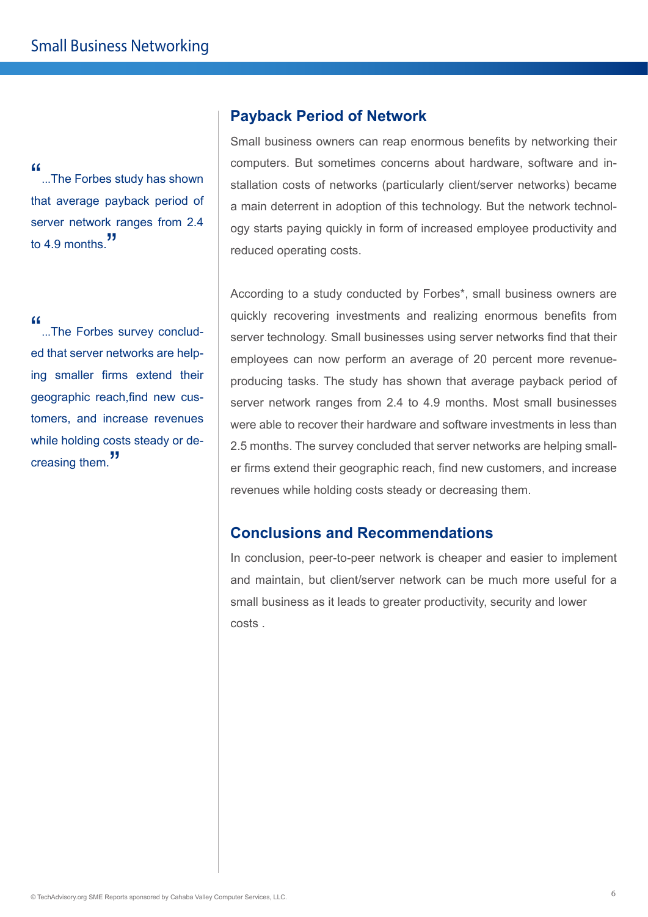"...The Forbes study has shown" that average payback period of server network ranges from 2.4 to 4.9 months."

"...The Forbes survey concluded that server networks are helping smaller firms extend their geographic reach,find new customers, and increase revenues while holding costs steady or decreasing them."

## **Payback Period of Network**

Small business owners can reap enormous benefits by networking their computers. But sometimes concerns about hardware, software and installation costs of networks (particularly client/server networks) became a main deterrent in adoption of this technology. But the network technology starts paying quickly in form of increased employee productivity and reduced operating costs.

According to a study conducted by Forbes\*, small business owners are quickly recovering investments and realizing enormous benefits from server technology. Small businesses using server networks find that their employees can now perform an average of 20 percent more revenueproducing tasks. The study has shown that average payback period of server network ranges from 2.4 to 4.9 months. Most small businesses were able to recover their hardware and software investments in less than 2.5 months. The survey concluded that server networks are helping smaller firms extend their geographic reach, find new customers, and increase revenues while holding costs steady or decreasing them.

# **Conclusions and Recommendations**

In conclusion, peer-to-peer network is cheaper and easier to implement and maintain, but client/server network can be much more useful for a small business as it leads to greater productivity, security and lower costs .